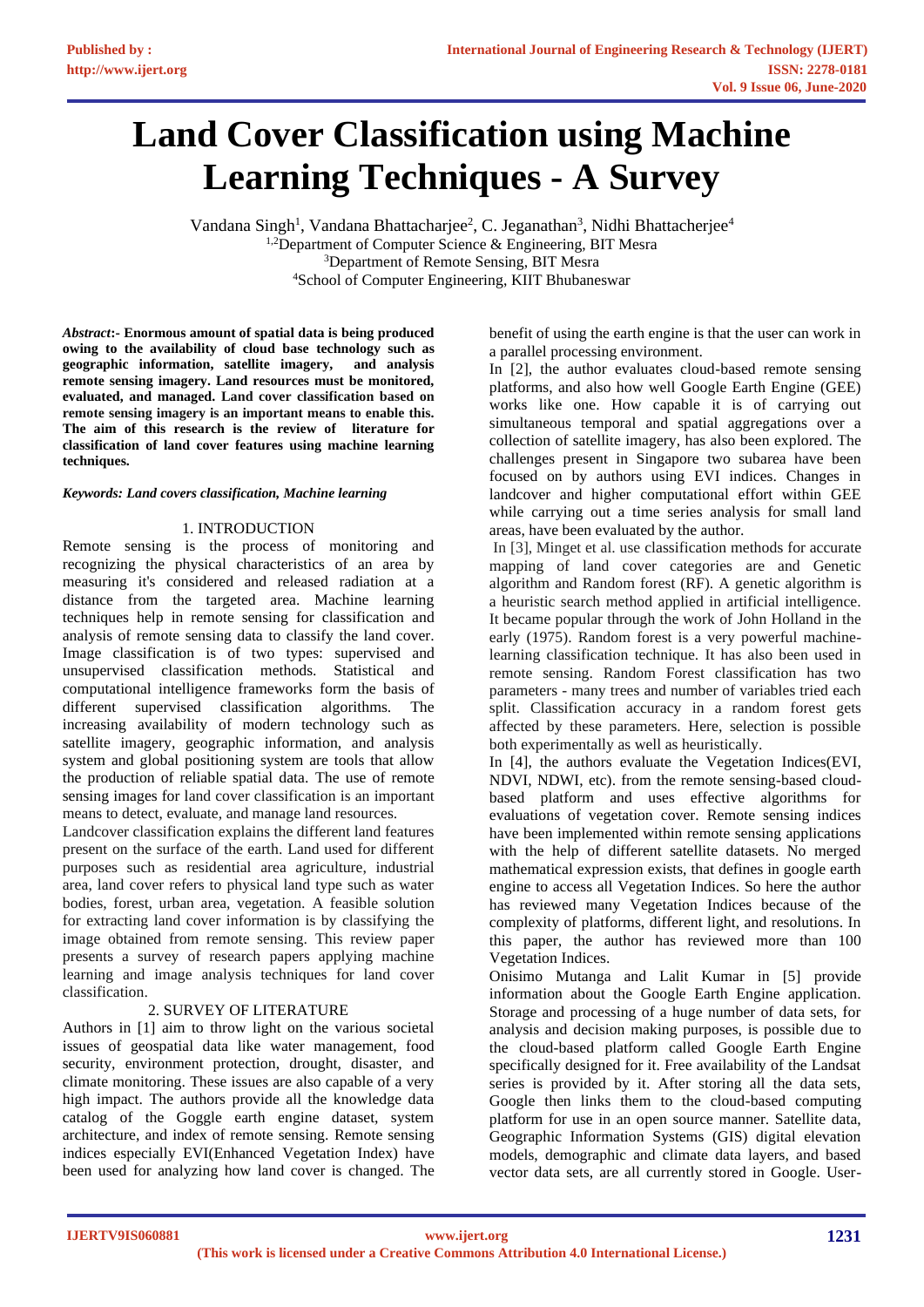# **Land Cover Classification using Machine Learning Techniques - A Survey**

Vandana Singh<sup>1</sup>, Vandana Bhattacharjee<sup>2</sup>, C. Jeganathan<sup>3</sup>, Nidhi Bhattacherjee<sup>4</sup>  $1,2$ Department of Computer Science & Engineering, BIT Mesra <sup>3</sup>Department of Remote Sensing, BIT Mesra <sup>4</sup>School of Computer Engineering, KIIT Bhubaneswar

*Abstract***:- Enormous amount of spatial data is being produced owing to the availability of cloud base technology such as geographic information, satellite imagery, and analysis remote sensing imagery. Land resources must be monitored, evaluated, and managed. Land cover classification based on remote sensing imagery is an important means to enable this. The aim of this research is the review of literature for classification of land cover features using machine learning techniques.** 

## *Keywords: Land covers classification, Machine learning*

# 1. INTRODUCTION

Remote sensing is the process of monitoring and recognizing the physical characteristics of an area by measuring it's considered and released radiation at a distance from the targeted area. Machine learning techniques help in remote sensing for classification and analysis of remote sensing data to classify the land cover. Image classification is of two types: supervised and unsupervised classification methods. Statistical and computational intelligence frameworks form the basis of different supervised classification algorithms. The increasing availability of modern technology such as satellite imagery, geographic information, and analysis system and global positioning system are tools that allow the production of reliable spatial data. The use of remote sensing images for land cover classification is an important means to detect, evaluate, and manage land resources.

Landcover classification explains the different land features present on the surface of the earth. Land used for different purposes such as residential area agriculture, industrial area, land cover refers to physical land type such as water bodies, forest, urban area, vegetation. A feasible solution for extracting land cover information is by classifying the image obtained from remote sensing. This review paper presents a survey of research papers applying machine learning and image analysis techniques for land cover classification.

# 2. SURVEY OF LITERATURE

Authors in [1] aim to throw light on the various societal issues of geospatial data like water management, food security, environment protection, drought, disaster, and climate monitoring. These issues are also capable of a very high impact. The authors provide all the knowledge data catalog of the Goggle earth engine dataset, system architecture, and index of remote sensing. Remote sensing indices especially EVI(Enhanced Vegetation Index) have been used for analyzing how land cover is changed. The benefit of using the earth engine is that the user can work in a parallel processing environment.

In [2], the author evaluates cloud-based remote sensing platforms, and also how well Google Earth Engine (GEE) works like one. How capable it is of carrying out simultaneous temporal and spatial aggregations over a collection of satellite imagery, has also been explored. The challenges present in Singapore two subarea have been focused on by authors using EVI indices. Changes in landcover and higher computational effort within GEE while carrying out a time series analysis for small land areas, have been evaluated by the author.

In [3], Minget et al. use classification methods for accurate mapping of land cover categories are and Genetic algorithm and Random forest (RF). A genetic algorithm is a heuristic search method applied in artificial intelligence. It became popular through the work of John Holland in the early (1975). Random forest is a very powerful machinelearning classification technique. It has also been used in remote sensing. Random Forest classification has two parameters - many trees and number of variables tried each split. Classification accuracy in a random forest gets affected by these parameters. Here, selection is possible both experimentally as well as heuristically.

In [4], the authors evaluate the Vegetation Indices(EVI, NDVI, NDWI, etc). from the remote sensing-based cloudbased platform and uses effective algorithms for evaluations of vegetation cover. Remote sensing indices have been implemented within remote sensing applications with the help of different satellite datasets. No merged mathematical expression exists, that defines in google earth engine to access all Vegetation Indices. So here the author has reviewed many Vegetation Indices because of the complexity of platforms, different light, and resolutions. In this paper, the author has reviewed more than 100 Vegetation Indices.

Onisimo Mutanga and Lalit Kumar in [5] provide information about the Google Earth Engine application. Storage and processing of a huge number of data sets, for analysis and decision making purposes, is possible due to the cloud-based platform called Google Earth Engine specifically designed for it. Free availability of the Landsat series is provided by it. After storing all the data sets, Google then links them to the cloud-based computing platform for use in an open source manner. Satellite data, Geographic Information Systems (GIS) digital elevation models, demographic and climate data layers, and based vector data sets, are all currently stored in Google. User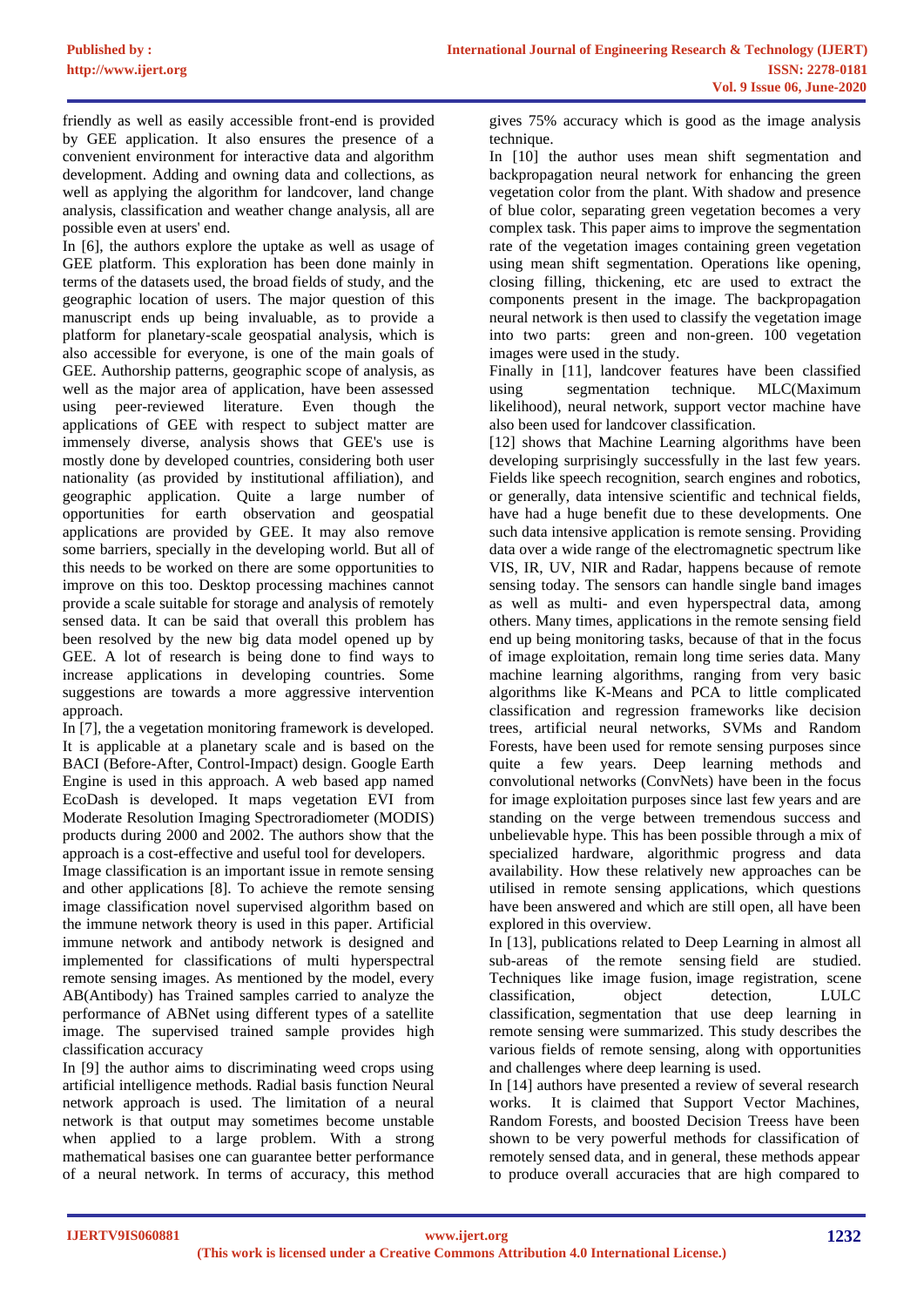friendly as well as easily accessible front-end is provided by GEE application. It also ensures the presence of a convenient environment for interactive data and algorithm development. Adding and owning data and collections, as well as applying the algorithm for landcover, land change analysis, classification and weather change analysis, all are possible even at users' end.

In [6], the authors explore the uptake as well as usage of GEE platform. This exploration has been done mainly in terms of the datasets used, the broad fields of study, and the geographic location of users. The major question of this manuscript ends up being invaluable, as to provide a platform for planetary-scale geospatial analysis, which is also accessible for everyone, is one of the main goals of GEE. Authorship patterns, geographic scope of analysis, as well as the major area of application, have been assessed using peer-reviewed literature. Even though the applications of GEE with respect to subject matter are immensely diverse, analysis shows that GEE's use is mostly done by developed countries, considering both user nationality (as provided by institutional affiliation), and geographic application. Quite a large number of opportunities for earth observation and geospatial applications are provided by GEE. It may also remove some barriers, specially in the developing world. But all of this needs to be worked on there are some opportunities to improve on this too. Desktop processing machines cannot provide a scale suitable for storage and analysis of remotely sensed data. It can be said that overall this problem has been resolved by the new big data model opened up by GEE. A lot of research is being done to find ways to increase applications in developing countries. Some suggestions are towards a more aggressive intervention approach.

In [7], the a vegetation monitoring framework is developed. It is applicable at a planetary scale and is based on the BACI (Before-After, Control-Impact) design. Google Earth Engine is used in this approach. A web based app named EcoDash is developed. It maps vegetation EVI from Moderate Resolution Imaging Spectroradiometer (MODIS) products during 2000 and 2002. The authors show that the approach is a cost-effective and useful tool for developers.

Image classification is an important issue in remote sensing and other applications [8]. To achieve the remote sensing image classification novel supervised algorithm based on the immune network theory is used in this paper. Artificial immune network and antibody network is designed and implemented for classifications of multi hyperspectral remote sensing images. As mentioned by the model, every AB(Antibody) has Trained samples carried to analyze the performance of ABNet using different types of a satellite image. The supervised trained sample provides high classification accuracy

In [9] the author aims to discriminating weed crops using artificial intelligence methods. Radial basis function Neural network approach is used. The limitation of a neural network is that output may sometimes become unstable when applied to a large problem. With a strong mathematical basises one can guarantee better performance of a neural network. In terms of accuracy, this method

gives 75% accuracy which is good as the image analysis technique.

In [10] the author uses mean shift segmentation and backpropagation neural network for enhancing the green vegetation color from the plant. With shadow and presence of blue color, separating green vegetation becomes a very complex task. This paper aims to improve the segmentation rate of the vegetation images containing green vegetation using mean shift segmentation. Operations like opening, closing filling, thickening, etc are used to extract the components present in the image. The backpropagation neural network is then used to classify the vegetation image into two parts: green and non-green. 100 vegetation images were used in the study.

Finally in [11], landcover features have been classified using segmentation technique. MLC(Maximum likelihood), neural network, support vector machine have also been used for landcover classification.

[12] shows that Machine Learning algorithms have been developing surprisingly successfully in the last few years. Fields like speech recognition, search engines and robotics, or generally, data intensive scientific and technical fields, have had a huge benefit due to these developments. One such data intensive application is remote sensing. Providing data over a wide range of the electromagnetic spectrum like VIS, IR, UV, NIR and Radar, happens because of remote sensing today. The sensors can handle single band images as well as multi- and even hyperspectral data, among others. Many times, applications in the remote sensing field end up being monitoring tasks, because of that in the focus of image exploitation, remain long time series data. Many machine learning algorithms, ranging from very basic algorithms like K-Means and PCA to little complicated classification and regression frameworks like decision trees, artificial neural networks, SVMs and Random Forests, have been used for remote sensing purposes since quite a few years. Deep learning methods and convolutional networks (ConvNets) have been in the focus for image exploitation purposes since last few years and are standing on the verge between tremendous success and unbelievable hype. This has been possible through a mix of specialized hardware, algorithmic progress and data availability. How these relatively new approaches can be utilised in remote sensing applications, which questions have been answered and which are still open, all have been explored in this overview.

In [13], publications related to Deep Learning in almost all sub-areas of the [remote sensing](https://www.sciencedirect.com/topics/earth-and-planetary-sciences/remote-sensing) field are studied. Techniques like image fusion, [image registration,](https://www.sciencedirect.com/topics/earth-and-planetary-sciences/image-registration) scene classification, object detection, LULC classification, [segmentation](https://www.sciencedirect.com/topics/earth-and-planetary-sciences/segmentation) that use deep learning in remote sensing were summarized. This study describes the various fields of remote sensing, along with opportunities and challenges where deep learning is used.

In [14] authors have presented a review of several research works. It is claimed that Support Vector Machines, Random Forests, and boosted Decision Treess have been shown to be very powerful methods for classification of remotely sensed data, and in general, these methods appear to produce overall accuracies that are high compared to